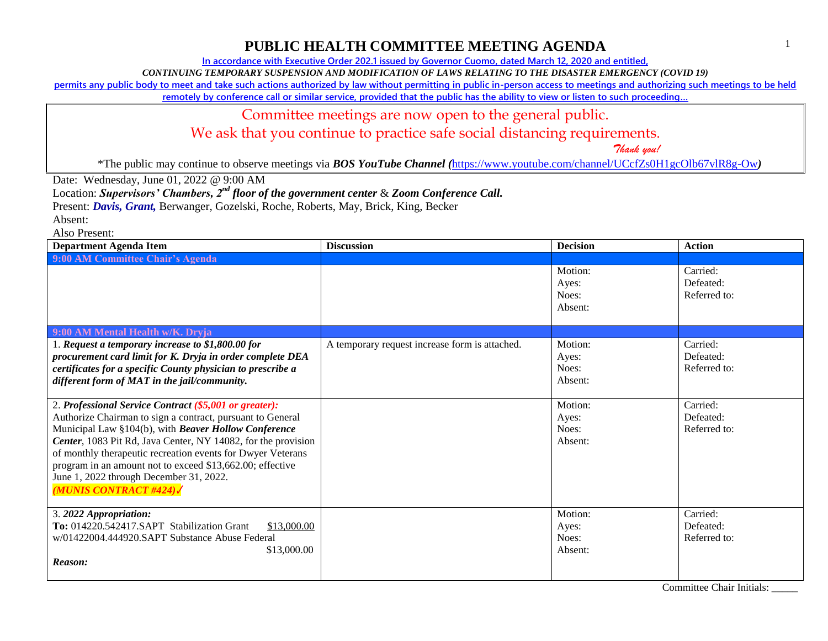**In accordance with Executive Order 202.1 issued by Governor Cuomo, dated March 12, 2020 and entitled,**

*CONTINUING TEMPORARY SUSPENSION AND MODIFICATION OF LAWS RELATING TO THE DISASTER EMERGENCY (COVID 19)*

**permits any public body to meet and take such actions authorized by law without permitting in public in-person access to meetings and authorizing such meetings to be held** 

**remotely by conference call or similar service, provided that the public has the ability to view or listen to such proceeding…**

#### Committee meetings are now open to the general public.

We ask that you continue to practice safe social distancing requirements.

 *Thank you!*

\*The public may continue to observe meetings via *BOS YouTube Channel (*<https://www.youtube.com/channel/UCcfZs0H1gcOlb67vlR8g-Ow>*)*

Date: Wednesday, June 01, 2022 @ 9:00 AM

Location: *Supervisors' Chambers, 2nd floor of the government center* & *Zoom Conference Call.*

Present: *Davis, Grant,* Berwanger, Gozelski, Roche, Roberts, May, Brick, King, Becker

Absent:

Also Present:

| <b>Department Agenda Item</b>                                                                                                                                                                                                                                                                                                                                                                                                                       | <b>Discussion</b>                              | <b>Decision</b>                      | <b>Action</b>                         |
|-----------------------------------------------------------------------------------------------------------------------------------------------------------------------------------------------------------------------------------------------------------------------------------------------------------------------------------------------------------------------------------------------------------------------------------------------------|------------------------------------------------|--------------------------------------|---------------------------------------|
| 9:00 AM Committee Chair's Agenda                                                                                                                                                                                                                                                                                                                                                                                                                    |                                                |                                      |                                       |
|                                                                                                                                                                                                                                                                                                                                                                                                                                                     |                                                | Motion:<br>Ayes:<br>Noes:<br>Absent: | Carried:<br>Defeated:<br>Referred to: |
| 9:00 AM Mental Health w/K. Dryja                                                                                                                                                                                                                                                                                                                                                                                                                    |                                                |                                      |                                       |
| 1. Request a temporary increase to \$1,800.00 for<br>procurement card limit for K. Dryja in order complete DEA<br>certificates for a specific County physician to prescribe a<br>different form of MAT in the jail/community.                                                                                                                                                                                                                       | A temporary request increase form is attached. | Motion:<br>Ayes:<br>Noes:<br>Absent: | Carried:<br>Defeated:<br>Referred to: |
| 2. Professional Service Contract (\$5,001 or greater):<br>Authorize Chairman to sign a contract, pursuant to General<br>Municipal Law §104(b), with Beaver Hollow Conference<br>Center, 1083 Pit Rd, Java Center, NY 14082, for the provision<br>of monthly therapeutic recreation events for Dwyer Veterans<br>program in an amount not to exceed \$13,662.00; effective<br>June 1, 2022 through December 31, 2022.<br><b>MUNIS CONTRACT #424)</b> |                                                | Motion:<br>Ayes:<br>Noes:<br>Absent: | Carried:<br>Defeated:<br>Referred to: |
| 3. 2022 Appropriation:<br>To: 014220.542417.SAPT Stabilization Grant<br>\$13,000.00<br>w/01422004.444920.SAPT Substance Abuse Federal<br>\$13,000.00<br>Reason:                                                                                                                                                                                                                                                                                     |                                                | Motion:<br>Ayes:<br>Noes:<br>Absent: | Carried:<br>Defeated:<br>Referred to: |

Committee Chair Initials: \_\_\_\_\_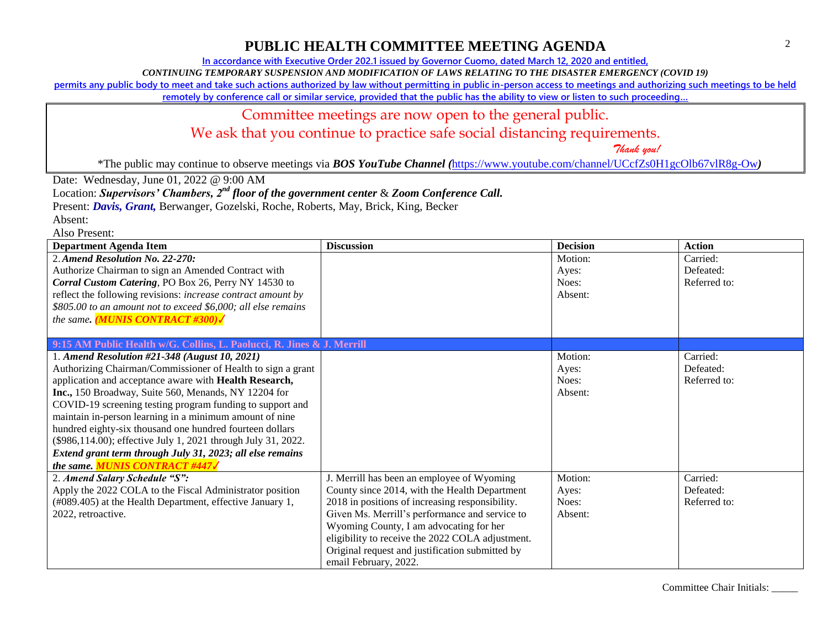### **PUBLIC HEALTH COMMITTEE MEETING AGENDA**

**In accordance with Executive Order 202.1 issued by Governor Cuomo, dated March 12, 2020 and entitled,**

*CONTINUING TEMPORARY SUSPENSION AND MODIFICATION OF LAWS RELATING TO THE DISASTER EMERGENCY (COVID 19)*

**permits any public body to meet and take such actions authorized by law without permitting in public in-person access to meetings and authorizing such meetings to be held** 

**remotely by conference call or similar service, provided that the public has the ability to view or listen to such proceeding…**

#### Committee meetings are now open to the general public.

We ask that you continue to practice safe social distancing requirements.

 *Thank you!*

\*The public may continue to observe meetings via *BOS YouTube Channel (*<https://www.youtube.com/channel/UCcfZs0H1gcOlb67vlR8g-Ow>*)*

Date: Wednesday, June 01, 2022 @ 9:00 AM

Location: *Supervisors' Chambers, 2nd floor of the government center* & *Zoom Conference Call.*

Present: *Davis, Grant,* Berwanger, Gozelski, Roche, Roberts, May, Brick, King, Becker

Absent:

Also Present:

| <b>Department Agenda Item</b>                                          | <b>Discussion</b>                                | <b>Decision</b> | <b>Action</b> |
|------------------------------------------------------------------------|--------------------------------------------------|-----------------|---------------|
| 2. Amend Resolution No. 22-270:                                        |                                                  | Motion:         | Carried:      |
| Authorize Chairman to sign an Amended Contract with                    |                                                  | Ayes:           | Defeated:     |
| Corral Custom Catering, PO Box 26, Perry NY 14530 to                   |                                                  | Noes:           | Referred to:  |
| reflect the following revisions: increase contract amount by           |                                                  | Absent:         |               |
| \$805.00 to an amount not to exceed \$6,000; all else remains          |                                                  |                 |               |
| the same. (MUNIS CONTRACT #300)                                        |                                                  |                 |               |
|                                                                        |                                                  |                 |               |
| 9:15 AM Public Health w/G. Collins, L. Paolucci, R. Jines & J. Merrill |                                                  |                 |               |
| 1. Amend Resolution #21-348 (August 10, 2021)                          |                                                  | Motion:         | Carried:      |
| Authorizing Chairman/Commissioner of Health to sign a grant            |                                                  | Ayes:           | Defeated:     |
| application and acceptance aware with Health Research,                 |                                                  | Noes:           | Referred to:  |
| Inc., 150 Broadway, Suite 560, Menands, NY 12204 for                   |                                                  | Absent:         |               |
| COVID-19 screening testing program funding to support and              |                                                  |                 |               |
| maintain in-person learning in a minimum amount of nine                |                                                  |                 |               |
| hundred eighty-six thousand one hundred fourteen dollars               |                                                  |                 |               |
| (\$986,114.00); effective July 1, 2021 through July 31, 2022.          |                                                  |                 |               |
| Extend grant term through July 31, 2023; all else remains              |                                                  |                 |               |
| the same. <b>MUNIS CONTRACT #447/</b>                                  |                                                  |                 |               |
| 2. Amend Salary Schedule "S":                                          | J. Merrill has been an employee of Wyoming       | Motion:         | Carried:      |
| Apply the 2022 COLA to the Fiscal Administrator position               | County since 2014, with the Health Department    | Ayes:           | Defeated:     |
| (#089.405) at the Health Department, effective January 1,              | 2018 in positions of increasing responsibility.  | Noes:           | Referred to:  |
| 2022, retroactive.                                                     | Given Ms. Merrill's performance and service to   | Absent:         |               |
|                                                                        | Wyoming County, I am advocating for her          |                 |               |
|                                                                        | eligibility to receive the 2022 COLA adjustment. |                 |               |
|                                                                        | Original request and justification submitted by  |                 |               |
|                                                                        | email February, 2022.                            |                 |               |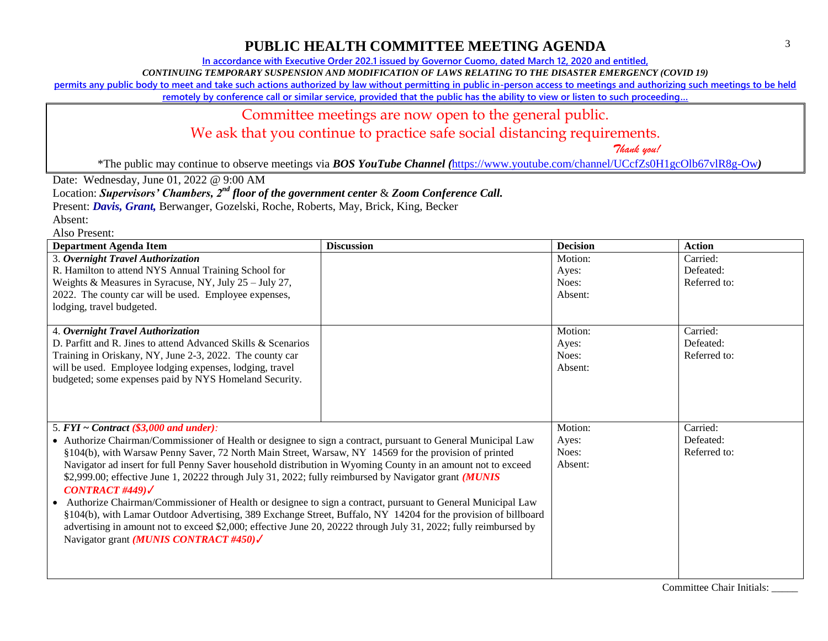# **PUBLIC HEALTH COMMITTEE MEETING AGENDA**

**In accordance with Executive Order 202.1 issued by Governor Cuomo, dated March 12, 2020 and entitled,**

*CONTINUING TEMPORARY SUSPENSION AND MODIFICATION OF LAWS RELATING TO THE DISASTER EMERGENCY (COVID 19)*

**permits any public body to meet and take such actions authorized by law without permitting in public in-person access to meetings and authorizing such meetings to be held** 

**remotely by conference call or similar service, provided that the public has the ability to view or listen to such proceeding…**

### Committee meetings are now open to the general public.

We ask that you continue to practice safe social distancing requirements.

 *Thank you!*

\*The public may continue to observe meetings via *BOS YouTube Channel (*<https://www.youtube.com/channel/UCcfZs0H1gcOlb67vlR8g-Ow>*)*

Date: Wednesday, June 01, 2022 @ 9:00 AM

Location: *Supervisors' Chambers, 2nd floor of the government center* & *Zoom Conference Call.*

Present: *Davis, Grant,* Berwanger, Gozelski, Roche, Roberts, May, Brick, King, Becker

Absent:

Also Present:

| <b>Department Agenda Item</b>                                                                                    | <b>Discussion</b> | <b>Decision</b> | <b>Action</b> |
|------------------------------------------------------------------------------------------------------------------|-------------------|-----------------|---------------|
| 3. Overnight Travel Authorization                                                                                |                   | Motion:         | Carried:      |
| R. Hamilton to attend NYS Annual Training School for                                                             |                   | Ayes:           | Defeated:     |
| Weights & Measures in Syracuse, NY, July 25 - July 27,                                                           |                   | Noes:           | Referred to:  |
| 2022. The county car will be used. Employee expenses,                                                            |                   | Absent:         |               |
| lodging, travel budgeted.                                                                                        |                   |                 |               |
|                                                                                                                  |                   |                 |               |
| 4. Overnight Travel Authorization                                                                                |                   | Motion:         | Carried:      |
| D. Parfitt and R. Jines to attend Advanced Skills & Scenarios                                                    |                   | Ayes:           | Defeated:     |
| Training in Oriskany, NY, June 2-3, 2022. The county car                                                         |                   | Noes:           | Referred to:  |
| will be used. Employee lodging expenses, lodging, travel                                                         |                   | Absent:         |               |
| budgeted; some expenses paid by NYS Homeland Security.                                                           |                   |                 |               |
|                                                                                                                  |                   |                 |               |
|                                                                                                                  |                   |                 |               |
|                                                                                                                  |                   | Motion:         | Carried:      |
| 5. $FYI \sim Contract$ (\$3,000 and under):                                                                      |                   |                 | Defeated:     |
| • Authorize Chairman/Commissioner of Health or designee to sign a contract, pursuant to General Municipal Law    |                   | Ayes:           |               |
| §104(b), with Warsaw Penny Saver, 72 North Main Street, Warsaw, NY 14569 for the provision of printed            |                   | Noes:           | Referred to:  |
| Navigator ad insert for full Penny Saver household distribution in Wyoming County in an amount not to exceed     |                   | Absent:         |               |
| \$2,999.00; effective June 1, 20222 through July 31, 2022; fully reimbursed by Navigator grant (MUNIS            |                   |                 |               |
| CONTRACT #449) $\checkmark$                                                                                      |                   |                 |               |
| • Authorize Chairman/Commissioner of Health or designee to sign a contract, pursuant to General Municipal Law    |                   |                 |               |
| §104(b), with Lamar Outdoor Advertising, 389 Exchange Street, Buffalo, NY 14204 for the provision of billboard   |                   |                 |               |
| advertising in amount not to exceed \$2,000; effective June 20, 20222 through July 31, 2022; fully reimbursed by |                   |                 |               |
| Navigator grant (MUNIS CONTRACT #450)                                                                            |                   |                 |               |
|                                                                                                                  |                   |                 |               |
|                                                                                                                  |                   |                 |               |
|                                                                                                                  |                   |                 |               |